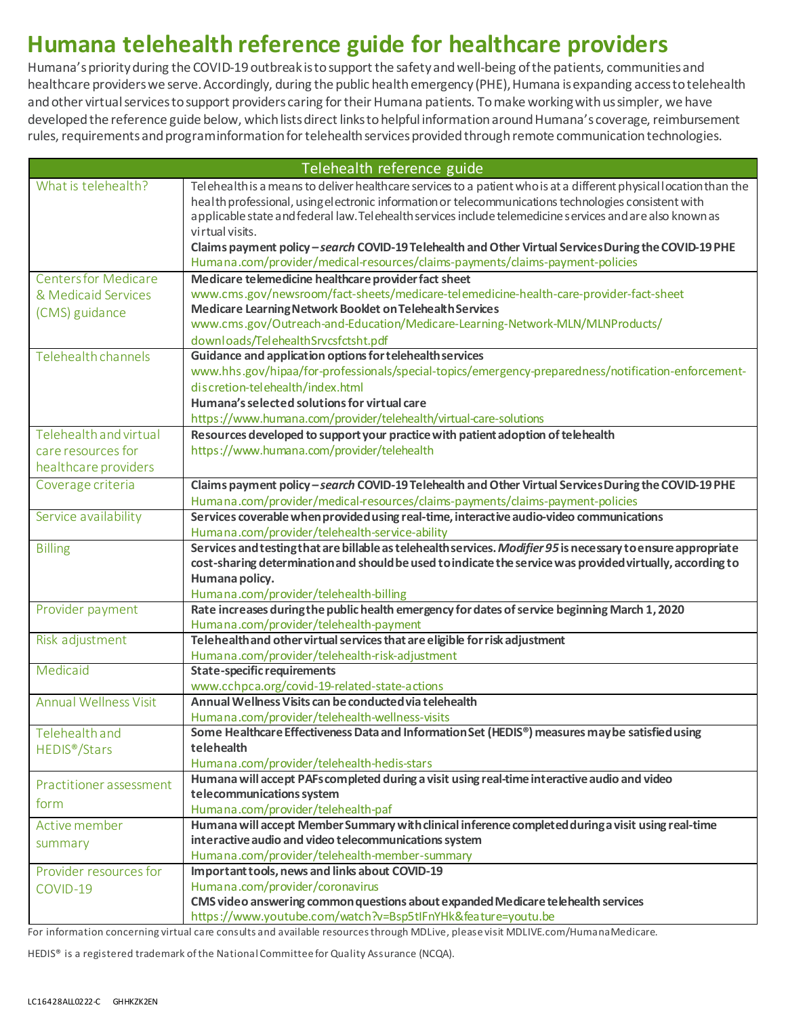## **Humana telehealth reference guide for healthcare providers**

Humana's priority during the COVID-19 outbreak is to support the safety and well-being of the patients, communities and healthcare providers we serve. Accordingly, during the public health emergency (PHE), Humana is expanding access to telehealth and other virtual services to support providers caring for their Humana patients. To make working with us simpler, we have developed the reference guide below, which listsdirect links to helpful information around Humana's coverage, reimbursement rules, requirements and program information for telehealth services provided through remote communication technologies.

| Telehealth reference guide   |                                                                                                                                                                                                                     |  |  |  |  |  |
|------------------------------|---------------------------------------------------------------------------------------------------------------------------------------------------------------------------------------------------------------------|--|--|--|--|--|
| What is telehealth?          | Telehealthis a means to deliver healthcare services to a patient who is at a different physical location than the                                                                                                   |  |  |  |  |  |
|                              | health professional, using electronic information or telecommunications technologies consistent with<br>a pplicable state and federal law. Tel ehealth services include telemedicine services and are also known as |  |  |  |  |  |
|                              | virtual visits.                                                                                                                                                                                                     |  |  |  |  |  |
|                              | Claims payment policy - search COVID-19 Telehealth and Other Virtual Services During the COVID-19 PHE                                                                                                               |  |  |  |  |  |
|                              | Humana.com/provider/medical-resources/claims-payments/claims-payment-policies                                                                                                                                       |  |  |  |  |  |
| <b>Centers for Medicare</b>  | Medicare telemedicine healthcare provider fact sheet                                                                                                                                                                |  |  |  |  |  |
| & Medicaid Services          | www.cms.gov/newsroom/fact-sheets/medicare-telemedicine-health-care-provider-fact-sheet                                                                                                                              |  |  |  |  |  |
| (CMS) guidance               | Medicare Learning Network Booklet on Telehealth Services                                                                                                                                                            |  |  |  |  |  |
|                              | www.cms.gov/Outreach-and-Education/Medicare-Learning-Network-MLN/MLNProducts/                                                                                                                                       |  |  |  |  |  |
|                              | downloads/TelehealthSrvcsfctsht.pdf                                                                                                                                                                                 |  |  |  |  |  |
| Telehealth channels          | Guidance and application options for telehealth services                                                                                                                                                            |  |  |  |  |  |
|                              | www.hhs.gov/hipaa/for-professionals/special-topics/emergency-preparedness/notification-enforcement-                                                                                                                 |  |  |  |  |  |
|                              | discretion-telehealth/index.html<br>Humana's selected solutions for virtual care                                                                                                                                    |  |  |  |  |  |
|                              | https://www.humana.com/provider/telehealth/virtual-care-solutions                                                                                                                                                   |  |  |  |  |  |
| Telehealth and virtual       | Resources developed to support your practice with patient adoption of telehealth                                                                                                                                    |  |  |  |  |  |
| care resources for           | https://www.humana.com/provider/telehealth                                                                                                                                                                          |  |  |  |  |  |
| healthcare providers         |                                                                                                                                                                                                                     |  |  |  |  |  |
| Coverage criteria            | Claims payment policy-search COVID-19 Telehealth and Other Virtual Services During the COVID-19 PHE                                                                                                                 |  |  |  |  |  |
|                              | Humana.com/provider/medical-resources/claims-payments/claims-payment-policies                                                                                                                                       |  |  |  |  |  |
| Service availability         | Services coverable when provided using real-time, interactive audio-video communications                                                                                                                            |  |  |  |  |  |
|                              | Humana.com/provider/telehealth-service-ability                                                                                                                                                                      |  |  |  |  |  |
| <b>Billing</b>               | Services and testing that are billable as telehealth services. Modifier 95 is necessary to ensure appropriate                                                                                                       |  |  |  |  |  |
|                              | cost-sharing determination and should be used to indicate the service was provided virtually, according to                                                                                                          |  |  |  |  |  |
|                              | Humana policy.                                                                                                                                                                                                      |  |  |  |  |  |
|                              | Humana.com/provider/telehealth-billing                                                                                                                                                                              |  |  |  |  |  |
| Provider payment             | Rate increases during the public health emergency for dates of service beginning March 1, 2020                                                                                                                      |  |  |  |  |  |
| Risk adjustment              | Humana.com/provider/telehealth-payment<br>Telehealth and other virtual services that are eligible for risk adjustment                                                                                               |  |  |  |  |  |
|                              | Humana.com/provider/telehealth-risk-adjustment                                                                                                                                                                      |  |  |  |  |  |
| Medicaid                     | <b>State-specific requirements</b>                                                                                                                                                                                  |  |  |  |  |  |
|                              | www.cchpca.org/covid-19-related-state-actions                                                                                                                                                                       |  |  |  |  |  |
| <b>Annual Wellness Visit</b> | Annual Wellness Visits can be conducted via telehealth                                                                                                                                                              |  |  |  |  |  |
|                              | Humana.com/provider/telehealth-wellness-visits                                                                                                                                                                      |  |  |  |  |  |
| Telehealth and               | Some Healthcare Effectiveness Data and Information Set (HEDIS®) measures may be satisfied using                                                                                                                     |  |  |  |  |  |
| HEDIS <sup>®</sup> /Stars    | telehealth                                                                                                                                                                                                          |  |  |  |  |  |
|                              | Humana.com/provider/telehealth-hedis-stars                                                                                                                                                                          |  |  |  |  |  |
| Practitioner assessment      | Humana will accept PAFs completed during a visit using real-time interactive audio and video                                                                                                                        |  |  |  |  |  |
| torm                         | telecommunications system<br>Humana.com/provider/telehealth-paf                                                                                                                                                     |  |  |  |  |  |
| Active member                | Humana will accept Member Summary with clinical inference completed during a visit using real-time                                                                                                                  |  |  |  |  |  |
|                              | interactive audio and video telecommunications system                                                                                                                                                               |  |  |  |  |  |
| summary                      | Humana.com/provider/telehealth-member-summary                                                                                                                                                                       |  |  |  |  |  |
| Provider resources for       | Important tools, news and links about COVID-19                                                                                                                                                                      |  |  |  |  |  |
| COVID-19                     | Humana.com/provider/coronavirus                                                                                                                                                                                     |  |  |  |  |  |
|                              | CMS video answering common questions about expanded Medicare telehealth services                                                                                                                                    |  |  |  |  |  |
|                              | https://www.youtube.com/watch?v=Bsp5tIFnYHk&feature=youtu.be                                                                                                                                                        |  |  |  |  |  |

For information concerning virtual care consults and available resourcesthrough MDLive, please visit MDLIVE.com/HumanaMedicare.

HEDIS® is a registered trademark of the National Committee for Quality Assurance (NCQA).